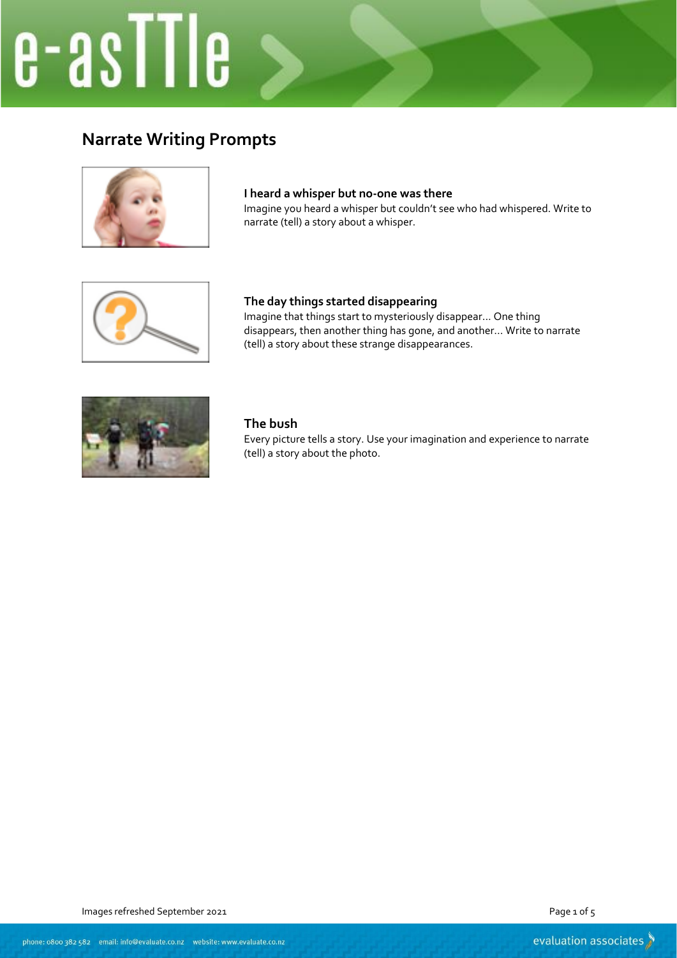# e-asTTIe

## **Narrate Writing Prompts**



#### **I heard a whisper but no-one was there**

Imagine you heard a whisper but couldn't see who had whispered. Write to narrate (tell) a story about a whisper.



#### **The day things started disappearing**

Imagine that things start to mysteriously disappear... One thing disappears, then another thing has gone, and another... Write to narrate (tell) a story about these strange disappearances.



#### **The bush**

Every picture tells a story. Use your imagination and experience to narrate (tell) a story about the photo.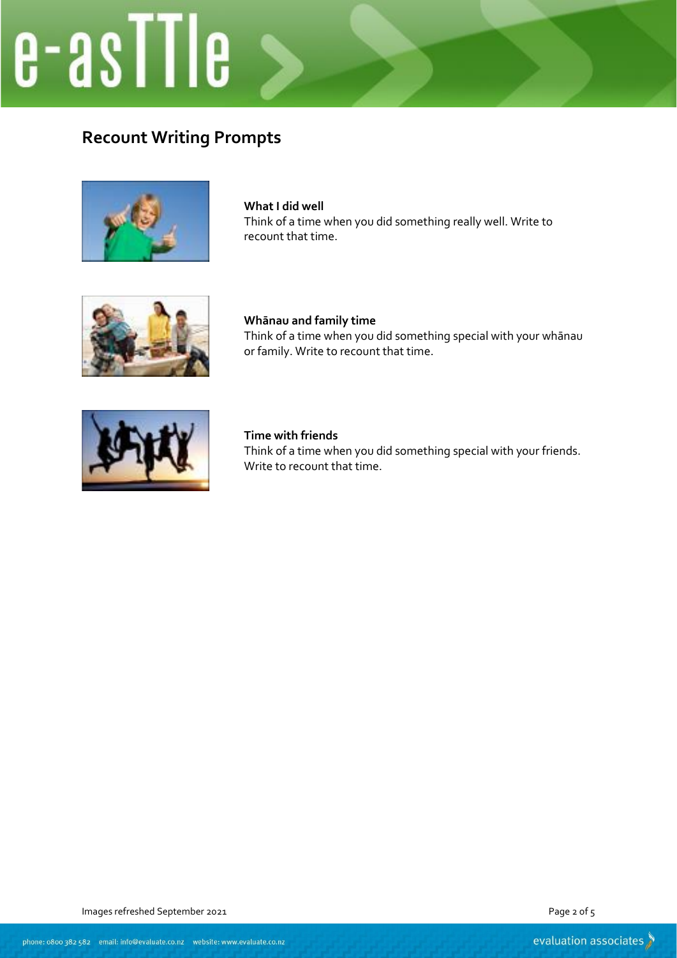# e-asTTle

## **Recount Writing Prompts**



**What I did well** Think of a time when you did something really well. Write to recount that time.



**Whānau and family time** Think of a time when you did something special with your whānau or family. Write to recount that time.



**Time with friends** Think of a time when you did something special with your friends. Write to recount that time.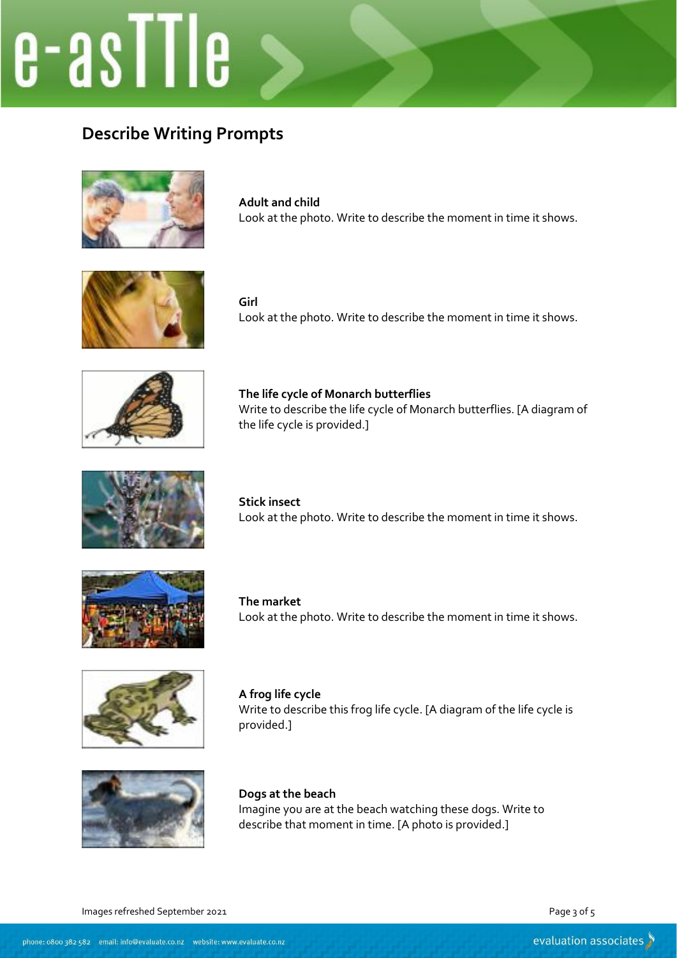## e-asTTIe

## **Describe Writing Prompts**



**Adult and child** Look at the photo. Write to describe the moment in time it shows.



**Girl** Look at the photo. Write to describe the moment in time it shows.



**The life cycle of Monarch butterflies** Write to describe the life cycle of Monarch butterflies. [A diagram of the life cycle is provided.]



**Stick insect** Look at the photo. Write to describe the moment in time it shows.



**The market** Look at the photo. Write to describe the moment in time it shows.



**A frog life cycle** Write to describe this frog life cycle. [A diagram of the life cycle is provided.]



**Dogs at the beach** Imagine you are at the beach watching these dogs. Write to describe that moment in time. [A photo is provided.]

Images refreshed September 2021 **Page 3 of 5** and 2021 **Page 3 of 5** and 2021 **Page 3 of 5** and 2021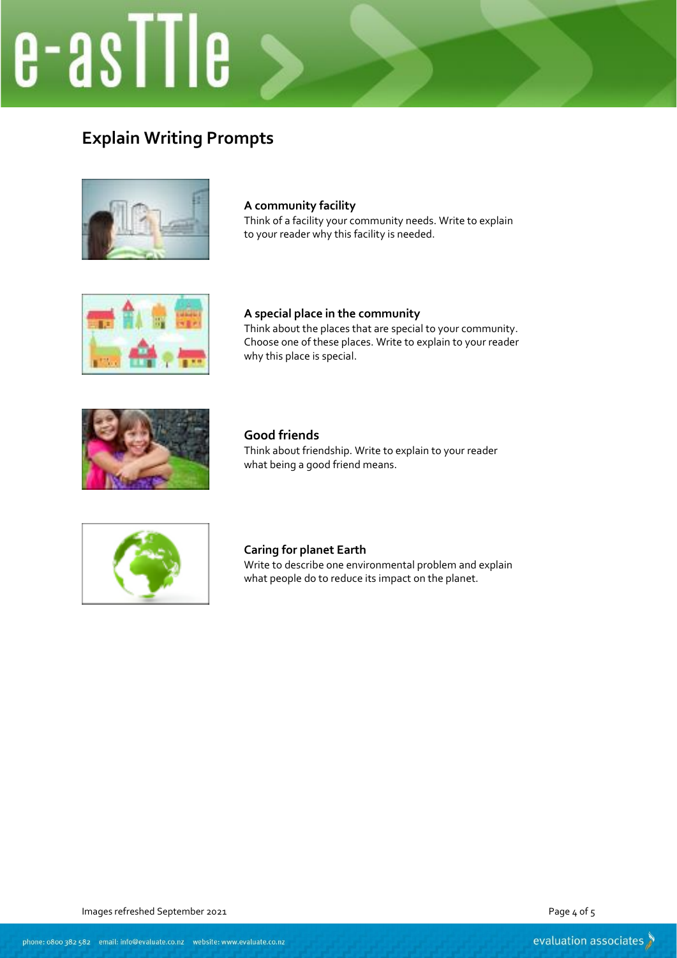## e-asTTle

## **Explain Writing Prompts**



## **A community facility**

Think of a facility your community needs. Write to explain to your reader why this facility is needed.



## **A special place in the community** Think about the places that are special to your community. Choose one of these places. Write to explain to your reader why this place is special.



### **Good friends** Think about friendship. Write to explain to your reader what being a good friend means.



### **Caring for planet Earth** Write to describe one environmental problem and explain what people do to reduce its impact on the planet.

Images refreshed September 2021 **Page 4 of 5** and 2021 **Page 4 of 5** and 2021 **Page 4 of 5** and 2021